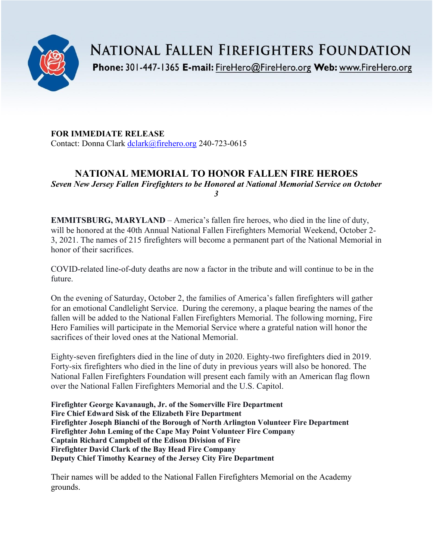

**NATIONAL FALLEN FIREFIGHTERS FOUNDATION** 

Phone: 301-447-1365 E-mail: FireHero@FireHero.org Web: www.FireHero.org

**FOR IMMEDIATE RELEASE** Contact: Donna Clark [dclark@firehero.org](mailto:dclark@firehero.org) 240-723-0615

# **NATIONAL MEMORIAL TO HONOR FALLEN FIRE HEROES**

*Seven New Jersey Fallen Firefighters to be Honored at National Memorial Service on October 3*

**EMMITSBURG, MARYLAND** – America's fallen fire heroes, who died in the line of duty, will be honored at the 40th Annual National Fallen Firefighters Memorial Weekend, October 2- 3, 2021. The names of 215 firefighters will become a permanent part of the National Memorial in honor of their sacrifices.

COVID-related line-of-duty deaths are now a factor in the tribute and will continue to be in the future.

On the evening of Saturday, October 2, the families of America's fallen firefighters will gather for an emotional Candlelight Service. During the ceremony, a plaque bearing the names of the fallen will be added to the National Fallen Firefighters Memorial. The following morning, Fire Hero Families will participate in the Memorial Service where a grateful nation will honor the sacrifices of their loved ones at the National Memorial.

Eighty-seven firefighters died in the line of duty in 2020. Eighty-two firefighters died in 2019. Forty-six firefighters who died in the line of duty in previous years will also be honored. The National Fallen Firefighters Foundation will present each family with an American flag flown over the National Fallen Firefighters Memorial and the U.S. Capitol.

**Firefighter George Kavanaugh, Jr. of the Somerville Fire Department Fire Chief Edward Sisk of the Elizabeth Fire Department Firefighter Joseph Bianchi of the Borough of North Arlington Volunteer Fire Department Firefighter John Leming of the Cape May Point Volunteer Fire Company Captain Richard Campbell of the Edison Division of Fire Firefighter David Clark of the Bay Head Fire Company Deputy Chief Timothy Kearney of the Jersey City Fire Department**

Their names will be added to the National Fallen Firefighters Memorial on the Academy grounds.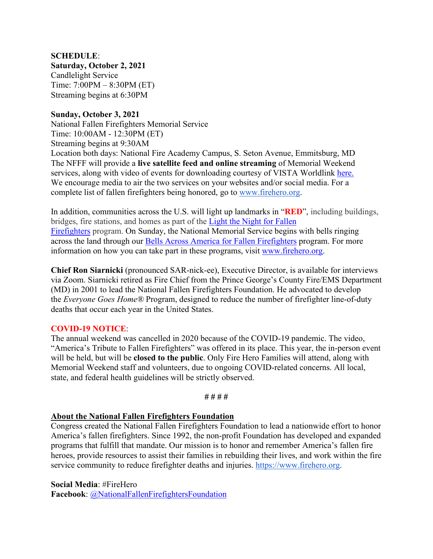## **SCHEDULE**:

**Saturday, October 2, 2021** Candlelight Service Time: 7:00PM – 8:30PM (ET) Streaming begins at 6:30PM

### **Sunday, October 3, 2021**

National Fallen Firefighters Memorial Service Time: 10:00AM - 12:30PM (ET) Streaming begins at 9:30AM Location both days: National Fire Academy Campus, S. Seton Avenue, Emmitsburg, MD The NFFF will provide a **live satellite feed and online streaming** of Memorial Weekend services, along with video of events for downloading courtesy of VISTA Worldlink [here.](https://www.firehero.org/events/memorial-weekend/attending-memorial-weekend/ways-honor-fallen/watch-live/) We encourage media to air the two services on your websites and/or social media. For a complete list of fallen firefighters being honored, go to [www.firehero.org.](http://www.firehero.org/)

In addition, communities across the U.S. will light up landmarks in "**RED**", including buildings, bridges, fire stations, and homes as part of the [Light the Night for Fallen](https://www.firehero.org/events/memorial-weekend/about/light-night-fallen-firefighters/)  [Firefighters](https://www.firehero.org/events/memorial-weekend/about/light-night-fallen-firefighters/) program. On Sunday, the National Memorial Service begins with bells ringing across the land through our [Bells Across America for Fallen Firefighters](https://www.firehero.org/events/memorial-weekend/about/bells-across-america/participation-form/) program. For more information on how you can take part in these programs, visit [www.firehero.org.](http://www.firehero.org/)

**Chief Ron Siarnicki** (pronounced SAR-nick-ee), Executive Director, is available for interviews via Zoom. Siarnicki retired as Fire Chief from the Prince George's County Fire/EMS Department (MD) in 2001 to lead the National Fallen Firefighters Foundation. He advocated to develop the *Everyone Goes Home®* Program, designed to reduce the number of firefighter line-of-duty deaths that occur each year in the United States.

#### **COVID-19 NOTICE**:

The annual weekend was cancelled in 2020 because of the COVID-19 pandemic. The video, "America's Tribute to Fallen Firefighters" was offered in its place. This year, the in-person event will be held, but will be **closed to the public**. Only Fire Hero Families will attend, along with Memorial Weekend staff and volunteers, due to ongoing COVID-related concerns. All local, state, and federal health guidelines will be strictly observed.

**# # # #**

#### **About the National Fallen Firefighters Foundation**

Congress created the National Fallen Firefighters Foundation to lead a nationwide effort to honor America's fallen firefighters. Since 1992, the non-profit Foundation has developed and expanded programs that fulfill that mandate. Our mission is to honor and remember America's fallen fire heroes, provide resources to assist their families in rebuilding their lives, and work within the fire service community to reduce firefighter deaths and injuries. [https://www.firehero.org.](https://www.firehero.org/)

**Social Media**: #FireHero

**Facebook**: [@NationalFallenFirefightersFoundation](https://www.facebook.com/NationalFallenFirefightersFoundation)